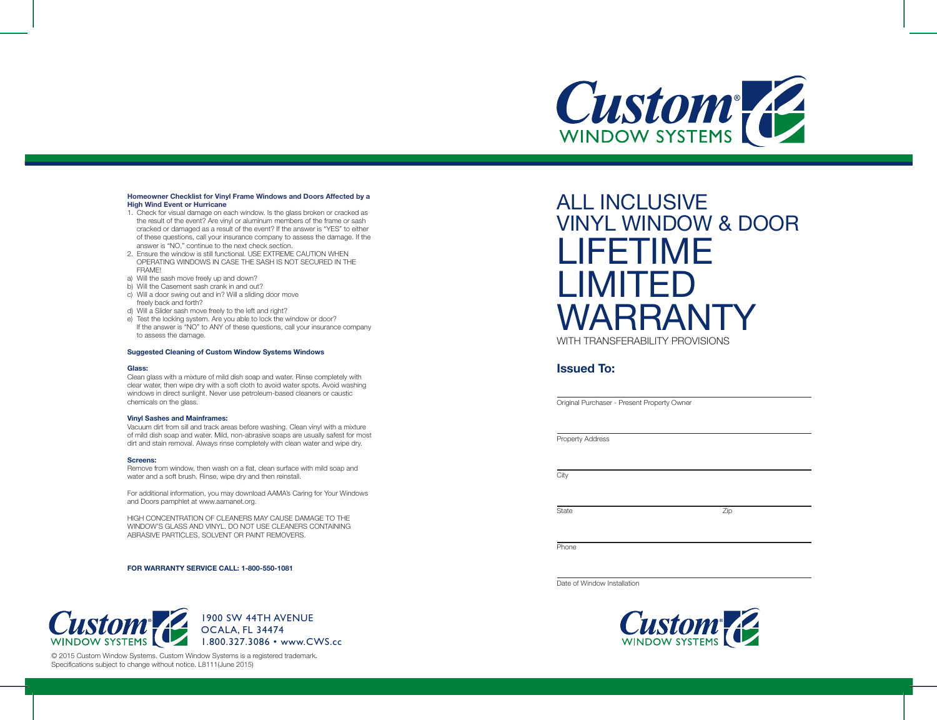

#### **Homeowner Checklist for Vinyl Frame Windows and Doors Affected by a High Wind Event or Hurricane**

- 1. Check for visual damage on each window. Is the glass broken or cracked as the result of the event? Are vinyl or aluminum members of the frame or sash cracked or damaged as a result of the event? If the answer is "YES" to either of these questions, call your insurance company to assess the damage. If the answer is "NO," continue to the next check section.
- 2. Ensure the window is still functional. USE EXTREME CAUTION WHEN OPERATING WINDOWS IN CASE THE SASH IS NOT SECURED IN THE FRAME!
- a) Will the sash move freely up and down?
- b) Will the Casement sash crank in and out?
- c) Will a door swing out and in? Will a sliding door move freely back and forth?
- d) Will a Slider sash move freely to the left and right?
- e) Test the locking system. Are you able to lock the window or door? If the answer is "NO" to ANY of these questions, call your insurance company to assess the damage.

#### **Suggested Cleaning of Custom Window Systems Windows**

#### **Glass:**

Clean glass with a mixture of mild dish soap and water. Rinse completely with clear water, then wipe dry with a soft cloth to avoid water spots. Avoid washing windows in direct sunlight. Never use petroleum-based cleaners or caustic chemicals on the glass.

#### **Vinyl Sashes and Mainframes:**

Vacuum dirt from sill and track areas before washing. Clean vinyl with a mixture of mild dish soap and water. Mild, non-abrasive soaps are usually safest for most dirt and stain removal. Always rinse completely with clean water and wipe dry.

#### **Screens:**

Remove from window, then wash on a flat, clean surface with mild soap and water and a soft brush. Rinse, wipe dry and then reinstall.

For additional information, you may download AAMA's Caring for Your Windows and Doors pamphlet at www.aamanet.org.

HIGH CONCENTRATION OF CLEANERS MAY CAUSE DAMAGE TO THE WINDOW'S GLASS AND VINYL. DO NOT USE CLEANERS CONTAINING ABRASIVE PARTICLES, SOLVENT OR PAINT REMOVERS.

**FOR WARRANTY SERVICE CALL: 1-800-550-1081**



© 2015 Custom Window Systems. Custom Window Systems is a registered trademark. Specifications subject to change without notice. L8111(June 2015)

# ALL INCLUSIVE VINYL WINDOW & DOOR LIFETIME LIMITED WARRANTY WITH TRANSFERABILITY PROVISIONS

### **Issued To:**

Original Purchaser - Present Property Owner

Property Address

**City** 

State Zip

**Phone** 

Date of Window Installation